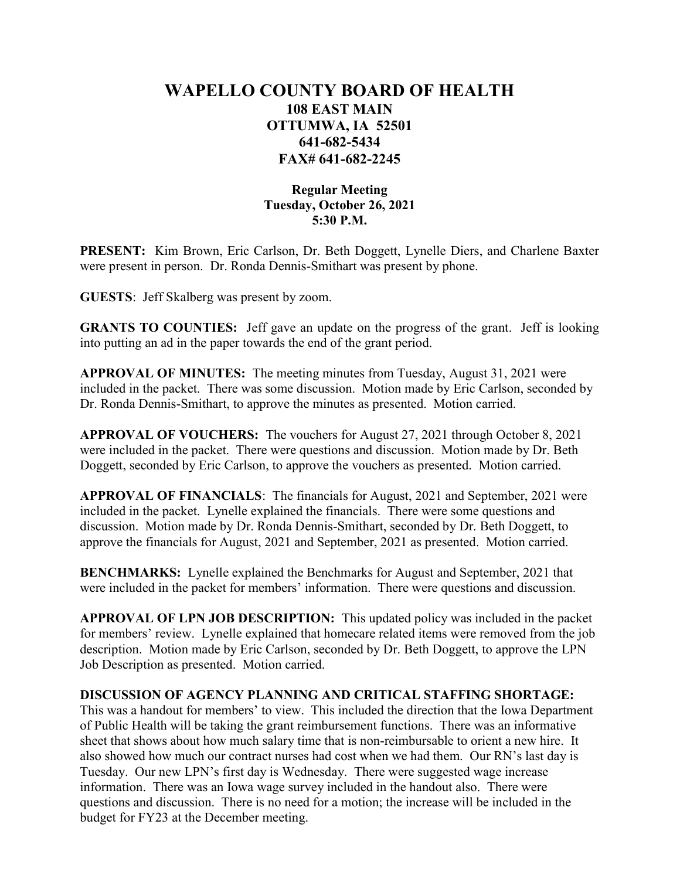## WAPELLO COUNTY BOARD OF HEALTH 108 EAST MAIN OTTUMWA, IA 52501 641-682-5434 FAX# 641-682-2245

## Regular Meeting Tuesday, October 26, 2021 5:30 P.M.

PRESENT: Kim Brown, Eric Carlson, Dr. Beth Doggett, Lynelle Diers, and Charlene Baxter were present in person. Dr. Ronda Dennis-Smithart was present by phone.

GUESTS: Jeff Skalberg was present by zoom.

GRANTS TO COUNTIES: Jeff gave an update on the progress of the grant. Jeff is looking into putting an ad in the paper towards the end of the grant period.

APPROVAL OF MINUTES: The meeting minutes from Tuesday, August 31, 2021 were included in the packet. There was some discussion. Motion made by Eric Carlson, seconded by Dr. Ronda Dennis-Smithart, to approve the minutes as presented. Motion carried.

APPROVAL OF VOUCHERS: The vouchers for August 27, 2021 through October 8, 2021 were included in the packet. There were questions and discussion. Motion made by Dr. Beth Doggett, seconded by Eric Carlson, to approve the vouchers as presented. Motion carried.

APPROVAL OF FINANCIALS: The financials for August, 2021 and September, 2021 were included in the packet. Lynelle explained the financials. There were some questions and discussion. Motion made by Dr. Ronda Dennis-Smithart, seconded by Dr. Beth Doggett, to approve the financials for August, 2021 and September, 2021 as presented. Motion carried.

BENCHMARKS: Lynelle explained the Benchmarks for August and September, 2021 that were included in the packet for members' information. There were questions and discussion.

APPROVAL OF LPN JOB DESCRIPTION: This updated policy was included in the packet for members' review. Lynelle explained that homecare related items were removed from the job description. Motion made by Eric Carlson, seconded by Dr. Beth Doggett, to approve the LPN Job Description as presented. Motion carried.

## DISCUSSION OF AGENCY PLANNING AND CRITICAL STAFFING SHORTAGE:

This was a handout for members' to view. This included the direction that the Iowa Department of Public Health will be taking the grant reimbursement functions. There was an informative sheet that shows about how much salary time that is non-reimbursable to orient a new hire. It also showed how much our contract nurses had cost when we had them. Our RN's last day is Tuesday. Our new LPN's first day is Wednesday. There were suggested wage increase information. There was an Iowa wage survey included in the handout also. There were questions and discussion. There is no need for a motion; the increase will be included in the budget for FY23 at the December meeting.